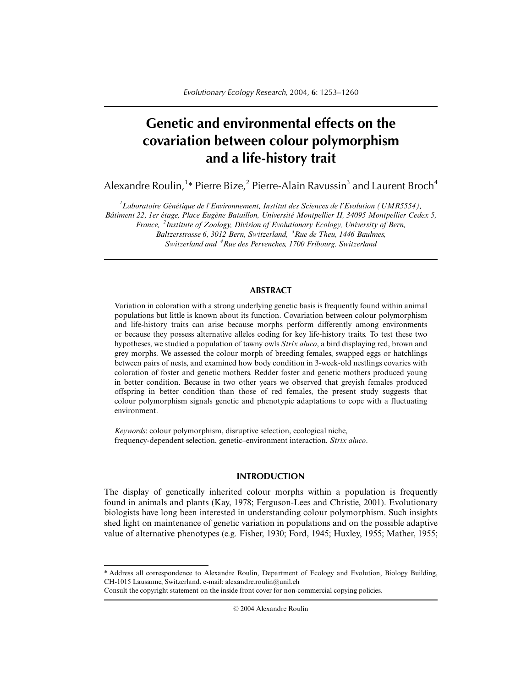# **Genetic and environmental effects on the covariation between colour polymorphism and a life-history trait**

Alexandre Roulin, $^{\rm 1\ast}$  Pierre Bize, $^{\rm 2}$  Pierre-Alain Ravussin $^{\rm 3}$  and Laurent Broch $^{\rm 4}$ 

*1 Laboratoire Génétique de l'Environnement, Institut des Sciences de l'Evolution (UMR5554),*

*Bâtiment 22, 1er étage, Place Eugène Bataillon, Université Montpellier II, 34095 Montpellier Cedex 5,*

*France, <sup>2</sup> Institute of Zoology, Division of Evolutionary Ecology, University of Bern,*

*Baltzerstrasse 6, 3012 Bern, Switzerland, <sup>3</sup> Rue de Theu, 1446 Baulmes, Switzerland and <sup>4</sup> Rue des Pervenches, 1700 Fribourg, Switzerland*

## **ABSTRACT**

Variation in coloration with a strong underlying genetic basis is frequently found within animal populations but little is known about its function. Covariation between colour polymorphism and life-history traits can arise because morphs perform differently among environments or because they possess alternative alleles coding for key life-history traits. To test these two hypotheses, we studied a population of tawny owls *Strix aluco*, a bird displaying red, brown and grey morphs. We assessed the colour morph of breeding females, swapped eggs or hatchlings between pairs of nests, and examined how body condition in 3-week-old nestlings covaries with coloration of foster and genetic mothers. Redder foster and genetic mothers produced young in better condition. Because in two other years we observed that greyish females produced offspring in better condition than those of red females, the present study suggests that colour polymorphism signals genetic and phenotypic adaptations to cope with a fluctuating environment.

*Keywords*: colour polymorphism, disruptive selection, ecological niche, frequency-dependent selection, genetic–environment interaction, *Strix aluco*.

## **INTRODUCTION**

The display of genetically inherited colour morphs within a population is frequently found in animals and plants (Kay, 1978; Ferguson-Lees and Christie, 2001). Evolutionary biologists have long been interested in understanding colour polymorphism. Such insights shed light on maintenance of genetic variation in populations and on the possible adaptive value of alternative phenotypes (e.g. Fisher, 1930; Ford, 1945; Huxley, 1955; Mather, 1955;

© 2004 Alexandre Roulin

<sup>\*</sup> Address all correspondence to Alexandre Roulin, Department of Ecology and Evolution, Biology Building, CH-1015 Lausanne, Switzerland. e-mail: alexandre.roulin@unil.ch

Consult the copyright statement on the inside front cover for non-commercial copying policies.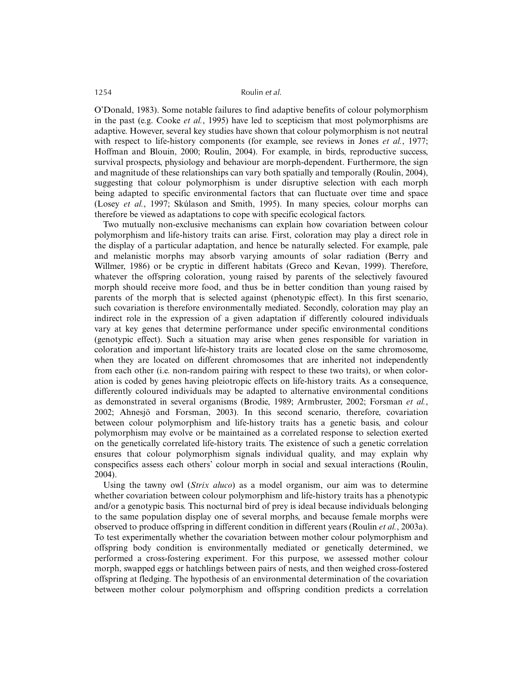#### 1254 Roulin *et al.*

O'Donald, 1983). Some notable failures to find adaptive benefits of colour polymorphism in the past (e.g. Cooke *et al.*, 1995) have led to scepticism that most polymorphisms are adaptive. However, several key studies have shown that colour polymorphism is not neutral with respect to life-history components (for example, see reviews in Jones *et al.*, 1977; Hoffman and Blouin, 2000; Roulin, 2004). For example, in birds, reproductive success, survival prospects, physiology and behaviour are morph-dependent. Furthermore, the sign and magnitude of these relationships can vary both spatially and temporally (Roulin, 2004), suggesting that colour polymorphism is under disruptive selection with each morph being adapted to specific environmental factors that can fluctuate over time and space (Losey *et al.*, 1997; Skúlason and Smith, 1995). In many species, colour morphs can therefore be viewed as adaptations to cope with specific ecological factors.

Two mutually non-exclusive mechanisms can explain how covariation between colour polymorphism and life-history traits can arise. First, coloration may play a direct role in the display of a particular adaptation, and hence be naturally selected. For example, pale and melanistic morphs may absorb varying amounts of solar radiation (Berry and Willmer, 1986) or be cryptic in different habitats (Greco and Kevan, 1999). Therefore, whatever the offspring coloration, young raised by parents of the selectively favoured morph should receive more food, and thus be in better condition than young raised by parents of the morph that is selected against (phenotypic effect). In this first scenario, such covariation is therefore environmentally mediated. Secondly, coloration may play an indirect role in the expression of a given adaptation if differently coloured individuals vary at key genes that determine performance under specific environmental conditions (genotypic effect). Such a situation may arise when genes responsible for variation in coloration and important life-history traits are located close on the same chromosome, when they are located on different chromosomes that are inherited not independently from each other (i.e. non-random pairing with respect to these two traits), or when coloration is coded by genes having pleiotropic effects on life-history traits. As a consequence, differently coloured individuals may be adapted to alternative environmental conditions as demonstrated in several organisms (Brodie, 1989; Armbruster, 2002; Forsman *et al.*, 2002; Ahnesjö and Forsman, 2003). In this second scenario, therefore, covariation between colour polymorphism and life-history traits has a genetic basis, and colour polymorphism may evolve or be maintained as a correlated response to selection exerted on the genetically correlated life-history traits. The existence of such a genetic correlation ensures that colour polymorphism signals individual quality, and may explain why conspecifics assess each others' colour morph in social and sexual interactions (Roulin, 2004).

Using the tawny owl (*Strix aluco*) as a model organism, our aim was to determine whether covariation between colour polymorphism and life-history traits has a phenotypic and/or a genotypic basis. This nocturnal bird of prey is ideal because individuals belonging to the same population display one of several morphs, and because female morphs were observed to produce offspring in different condition in different years (Roulin *et al.*, 2003a). To test experimentally whether the covariation between mother colour polymorphism and offspring body condition is environmentally mediated or genetically determined, we performed a cross-fostering experiment. For this purpose, we assessed mother colour morph, swapped eggs or hatchlings between pairs of nests, and then weighed cross-fostered offspring at fledging. The hypothesis of an environmental determination of the covariation between mother colour polymorphism and offspring condition predicts a correlation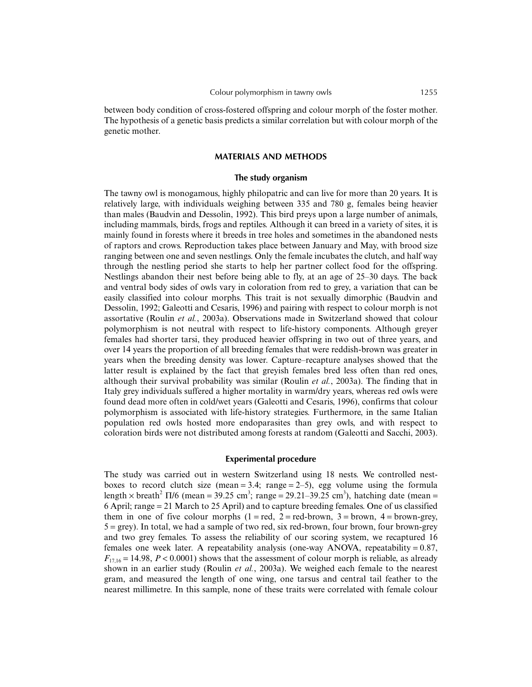between body condition of cross-fostered offspring and colour morph of the foster mother. The hypothesis of a genetic basis predicts a similar correlation but with colour morph of the genetic mother.

### **MATERIALS AND METHODS**

#### **The study organism**

The tawny owl is monogamous, highly philopatric and can live for more than 20 years. It is relatively large, with individuals weighing between 335 and 780 g, females being heavier than males (Baudvin and Dessolin, 1992). This bird preys upon a large number of animals, including mammals, birds, frogs and reptiles. Although it can breed in a variety of sites, it is mainly found in forests where it breeds in tree holes and sometimes in the abandoned nests of raptors and crows. Reproduction takes place between January and May, with brood size ranging between one and seven nestlings. Only the female incubates the clutch, and half way through the nestling period she starts to help her partner collect food for the offspring. Nestlings abandon their nest before being able to fly, at an age of 25–30 days. The back and ventral body sides of owls vary in coloration from red to grey, a variation that can be easily classified into colour morphs. This trait is not sexually dimorphic (Baudvin and Dessolin, 1992; Galeotti and Cesaris, 1996) and pairing with respect to colour morph is not assortative (Roulin *et al.*, 2003a). Observations made in Switzerland showed that colour polymorphism is not neutral with respect to life-history components. Although greyer females had shorter tarsi, they produced heavier offspring in two out of three years, and over 14 years the proportion of all breeding females that were reddish-brown was greater in years when the breeding density was lower. Capture–recapture analyses showed that the latter result is explained by the fact that greyish females bred less often than red ones, although their survival probability was similar (Roulin *et al.*, 2003a). The finding that in Italy grey individuals suffered a higher mortality in warm/dry years, whereas red owls were found dead more often in cold/wet years (Galeotti and Cesaris, 1996), confirms that colour polymorphism is associated with life-history strategies. Furthermore, in the same Italian population red owls hosted more endoparasites than grey owls, and with respect to coloration birds were not distributed among forests at random (Galeotti and Sacchi, 2003).

#### **Experimental procedure**

The study was carried out in western Switzerland using 18 nests. We controlled nestboxes to record clutch size (mean  $= 3.4$ ; range  $= 2-5$ ), egg volume using the formula length  $\times$  breath<sup>2</sup>  $\Pi/6$  (mean = 39.25 cm<sup>3</sup>; range = 29.21–39.25 cm<sup>3</sup>), hatching date (mean = 6 April; range = 21 March to 25 April) and to capture breeding females. One of us classified them in one of five colour morphs  $(1 = red, 2 = red-brown, 3 = brown, 4 = brown-grey,$  $5 = \text{grey}$ ). In total, we had a sample of two red, six red-brown, four brown, four brown-grey and two grey females. To assess the reliability of our scoring system, we recaptured 16 females one week later. A repeatability analysis (one-way ANOVA, repeatability =  $0.87$ ,  $F_{17,16} = 14.98$ ,  $P < 0.0001$ ) shows that the assessment of colour morph is reliable, as already shown in an earlier study (Roulin *et al.*, 2003a). We weighed each female to the nearest gram, and measured the length of one wing, one tarsus and central tail feather to the nearest millimetre. In this sample, none of these traits were correlated with female colour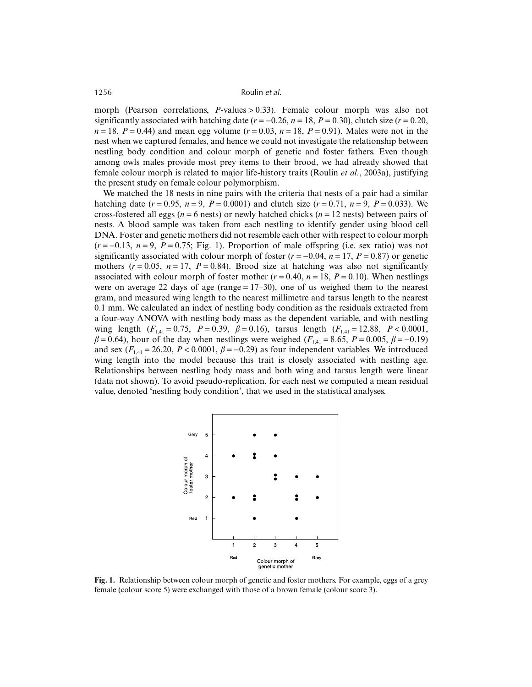1256 Roulin *et al.*

morph (Pearson correlations, *P*-values > 0.33). Female colour morph was also not significantly associated with hatching date  $(r = -0.26, n = 18, P = 0.30)$ , clutch size  $(r = 0.20, r = 0.20)$  $n = 18$ ,  $P = 0.44$ ) and mean egg volume ( $r = 0.03$ ,  $n = 18$ ,  $P = 0.91$ ). Males were not in the nest when we captured females, and hence we could not investigate the relationship between nestling body condition and colour morph of genetic and foster fathers. Even though among owls males provide most prey items to their brood, we had already showed that female colour morph is related to major life-history traits (Roulin *et al.*, 2003a), justifying the present study on female colour polymorphism.

We matched the 18 nests in nine pairs with the criteria that nests of a pair had a similar hatching date  $(r = 0.95, n = 9, P = 0.0001)$  and clutch size  $(r = 0.71, n = 9, P = 0.033)$ . We cross-fostered all eggs (*n* = 6 nests) or newly hatched chicks (*n* = 12 nests) between pairs of nests. A blood sample was taken from each nestling to identify gender using blood cell DNA. Foster and genetic mothers did not resemble each other with respect to colour morph  $(r = -0.13, n = 9, P = 0.75$ ; Fig. 1). Proportion of male offspring (i.e. sex ratio) was not significantly associated with colour morph of foster  $(r = -0.04, n = 17, P = 0.87)$  or genetic mothers  $(r = 0.05, n = 17, P = 0.84)$ . Brood size at hatching was also not significantly associated with colour morph of foster mother  $(r = 0.40, n = 18, P = 0.10)$ . When nestlings were on average 22 days of age (range  $= 17-30$ ), one of us weighed them to the nearest gram, and measured wing length to the nearest millimetre and tarsus length to the nearest 0.1 mm. We calculated an index of nestling body condition as the residuals extracted from a four-way ANOVA with nestling body mass as the dependent variable, and with nestling wing length  $(F_{1,41} = 0.75, P = 0.39, \beta = 0.16)$ , tarsus length  $(F_{1,41} = 12.88, P < 0.0001,$  $β = 0.64$ ), hour of the day when nestlings were weighed ( $F_{1,41} = 8.65$ ,  $P = 0.005$ ,  $β = -0.19$ ) and sex  $(F_{1,41} = 26.20, P < 0.0001, \beta = -0.29)$  as four independent variables. We introduced wing length into the model because this trait is closely associated with nestling age. Relationships between nestling body mass and both wing and tarsus length were linear (data not shown). To avoid pseudo-replication, for each nest we computed a mean residual value, denoted 'nestling body condition', that we used in the statistical analyses.



**Fig. 1.** Relationship between colour morph of genetic and foster mothers. For example, eggs of a grey female (colour score 5) were exchanged with those of a brown female (colour score 3).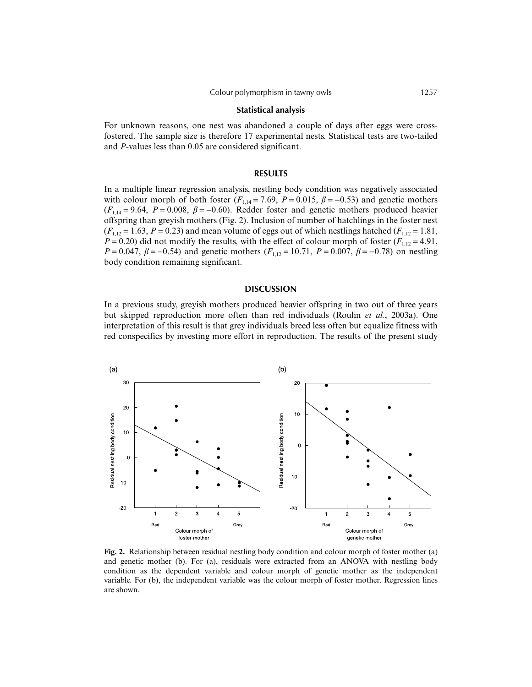#### **Statistical analysis**

For unknown reasons, one nest was abandoned a couple of days after eggs were crossfostered. The sample size is therefore 17 experimental nests. Statistical tests are two-tailed and *P*-values less than 0.05 are considered significant.

#### **RESULTS**

In a multiple linear regression analysis, nestling body condition was negatively associated with colour morph of both foster ( $F_{1,14} = 7.69$ ,  $P = 0.015$ ,  $\beta = -0.53$ ) and genetic mothers  $(F_{1,14} = 9.64, P = 0.008, \beta = -0.60)$ . Redder foster and genetic mothers produced heavier offspring than greyish mothers (Fig. 2). Inclusion of number of hatchlings in the foster nest  $(F_{1,12} = 1.63, P = 0.23)$  and mean volume of eggs out of which nestlings hatched  $(F_{1,12} = 1.81,$  $P = 0.20$ ) did not modify the results, with the effect of colour morph of foster ( $F_{1,12} = 4.91$ , *P* = 0.047,  $\beta$  = −0.54) and genetic mothers ( $F_{1,12}$  = 10.71, *P* = 0.007,  $\beta$  = −0.78) on nestling body condition remaining significant.

## **DISCUSSION**

In a previous study, greyish mothers produced heavier offspring in two out of three years but skipped reproduction more often than red individuals (Roulin *et al.*, 2003a). One interpretation of this result is that grey individuals breed less often but equalize fitness with red conspecifics by investing more effort in reproduction. The results of the present study



**Fig. 2.** Relationship between residual nestling body condition and colour morph of foster mother (a) and genetic mother (b). For (a), residuals were extracted from an ANOVA with nestling body condition as the dependent variable and colour morph of genetic mother as the independent variable. For (b), the independent variable was the colour morph of foster mother. Regression lines are shown.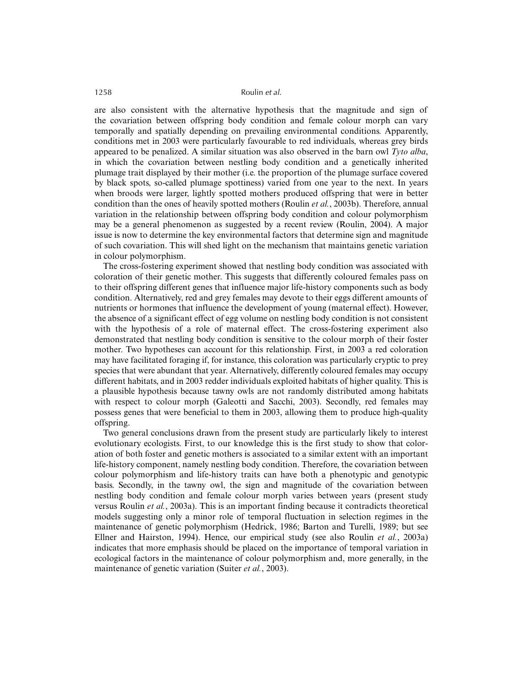#### 1258 Roulin *et al.*

are also consistent with the alternative hypothesis that the magnitude and sign of the covariation between offspring body condition and female colour morph can vary temporally and spatially depending on prevailing environmental conditions. Apparently, conditions met in 2003 were particularly favourable to red individuals, whereas grey birds appeared to be penalized. A similar situation was also observed in the barn owl *Tyto alba*, in which the covariation between nestling body condition and a genetically inherited plumage trait displayed by their mother (i.e. the proportion of the plumage surface covered by black spots, so-called plumage spottiness) varied from one year to the next. In years when broods were larger, lightly spotted mothers produced offspring that were in better condition than the ones of heavily spotted mothers (Roulin *et al.*, 2003b). Therefore, annual variation in the relationship between offspring body condition and colour polymorphism may be a general phenomenon as suggested by a recent review (Roulin, 2004). A major issue is now to determine the key environmental factors that determine sign and magnitude of such covariation. This will shed light on the mechanism that maintains genetic variation in colour polymorphism.

The cross-fostering experiment showed that nestling body condition was associated with coloration of their genetic mother. This suggests that differently coloured females pass on to their offspring different genes that influence major life-history components such as body condition. Alternatively, red and grey females may devote to their eggs different amounts of nutrients or hormones that influence the development of young (maternal effect). However, the absence of a significant effect of egg volume on nestling body condition is not consistent with the hypothesis of a role of maternal effect. The cross-fostering experiment also demonstrated that nestling body condition is sensitive to the colour morph of their foster mother. Two hypotheses can account for this relationship. First, in 2003 a red coloration may have facilitated foraging if, for instance, this coloration was particularly cryptic to prey species that were abundant that year. Alternatively, differently coloured females may occupy different habitats, and in 2003 redder individuals exploited habitats of higher quality. This is a plausible hypothesis because tawny owls are not randomly distributed among habitats with respect to colour morph (Galeotti and Sacchi, 2003). Secondly, red females may possess genes that were beneficial to them in 2003, allowing them to produce high-quality offspring.

Two general conclusions drawn from the present study are particularly likely to interest evolutionary ecologists. First, to our knowledge this is the first study to show that coloration of both foster and genetic mothers is associated to a similar extent with an important life-history component, namely nestling body condition. Therefore, the covariation between colour polymorphism and life-history traits can have both a phenotypic and genotypic basis. Secondly, in the tawny owl, the sign and magnitude of the covariation between nestling body condition and female colour morph varies between years (present study versus Roulin *et al.*, 2003a). This is an important finding because it contradicts theoretical models suggesting only a minor role of temporal fluctuation in selection regimes in the maintenance of genetic polymorphism (Hedrick, 1986; Barton and Turelli, 1989; but see Ellner and Hairston, 1994). Hence, our empirical study (see also Roulin *et al.*, 2003a) indicates that more emphasis should be placed on the importance of temporal variation in ecological factors in the maintenance of colour polymorphism and, more generally, in the maintenance of genetic variation (Suiter *et al.*, 2003).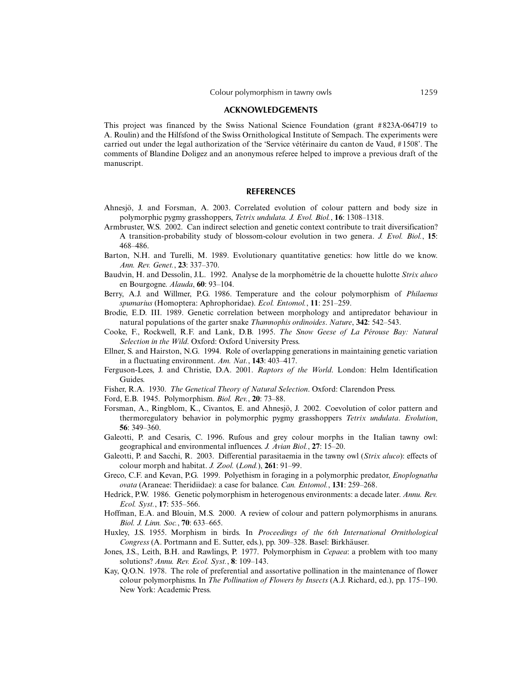#### **ACKNOWLEDGEMENTS**

This project was financed by the Swiss National Science Foundation (grant #823A-064719 to A. Roulin) and the Hilfsfond of the Swiss Ornithological Institute of Sempach. The experiments were carried out under the legal authorization of the 'Service vétérinaire du canton de Vaud, #1508'. The comments of Blandine Doligez and an anonymous referee helped to improve a previous draft of the manuscript.

#### **REFERENCES**

- Ahnesjö, J. and Forsman, A. 2003. Correlated evolution of colour pattern and body size in polymorphic pygmy grasshoppers, *Tetrix undulata. J. Evol. Biol.*, **16**: 1308–1318.
- Armbruster, W.S. 2002. Can indirect selection and genetic context contribute to trait diversification? A transition-probability study of blossom-colour evolution in two genera. *J. Evol. Biol.*, **15**: 468–486.
- Barton, N.H. and Turelli, M. 1989. Evolutionary quantitative genetics: how little do we know. *Ann. Rev. Genet.*, **23**: 337–370.
- Baudvin, H. and Dessolin, J.L. 1992. Analyse de la morphométrie de la chouette hulotte *Strix aluco* en Bourgogne. *Alauda*, **60**: 93–104.
- Berry, A.J. and Willmer, P.G. 1986. Temperature and the colour polymorphism of *Philaenus spumarius* (Homoptera: Aphrophoridae). *Ecol. Entomol.*, **11**: 251–259.
- Brodie, E.D. III. 1989. Genetic correlation between morphology and antipredator behaviour in natural populations of the garter snake *Thamnophis ordinoides*. *Nature*, **342**: 542–543.
- Cooke, F., Rockwell, R.F. and Lank, D.B. 1995. *The Snow Geese of La Pérouse Bay: Natural Selection in the Wild*. Oxford: Oxford University Press.
- Ellner, S. and Hairston, N.G. 1994. Role of overlapping generations in maintaining genetic variation in a fluctuating environment. *Am. Nat.*, **143**: 403–417.
- Ferguson-Lees, J. and Christie, D.A. 2001. *Raptors of the World*. London: Helm Identification Guides.
- Fisher, R.A. 1930. *The Genetical Theory of Natural Selection*. Oxford: Clarendon Press.
- Ford, E.B. 1945. Polymorphism. *Biol. Rev.*, **20**: 73–88.
- Forsman, A., Ringblom, K., Civantos, E. and Ahnesjö, J. 2002. Coevolution of color pattern and thermoregulatory behavior in polymorphic pygmy grasshoppers *Tetrix undulata*. *Evolution*, **56**: 349–360.
- Galeotti, P. and Cesaris, C. 1996. Rufous and grey colour morphs in the Italian tawny owl: geographical and environmental influences. *J. Avian Biol.*, **27**: 15–20.
- Galeotti, P. and Sacchi, R. 2003. Differential parasitaemia in the tawny owl (*Strix aluco*): effects of colour morph and habitat. *J. Zool.* (*Lond.*), **261**: 91–99.
- Greco, C.F. and Kevan, P.G. 1999. Polyethism in foraging in a polymorphic predator, *Enoplognatha ovata* (Araneae: Theridiidae): a case for balance. *Can. Entomol.*, **131**: 259–268.
- Hedrick, P.W. 1986. Genetic polymorphism in heterogenous environments: a decade later. *Annu. Rev. Ecol. Syst.*, **17**: 535–566.
- Hoffman, E.A. and Blouin, M.S. 2000. A review of colour and pattern polymorphisms in anurans. *Biol. J. Linn. Soc.*, **70**: 633–665.
- Huxley, J.S. 1955. Morphism in birds. In *Proceedings of the 6th International Ornithological Congress* (A. Portmann and E. Sutter, eds.), pp. 309–328. Basel: Birkhäuser.
- Jones, J.S., Leith, B.H. and Rawlings, P. 1977. Polymorphism in *Cepaea*: a problem with too many solutions? *Annu. Rev. Ecol. Syst.*, **8**: 109–143.
- Kay, Q.O.N. 1978. The role of preferential and assortative pollination in the maintenance of flower colour polymorphisms. In *The Pollination of Flowers by Insects* (A.J. Richard, ed.), pp. 175–190. New York: Academic Press.